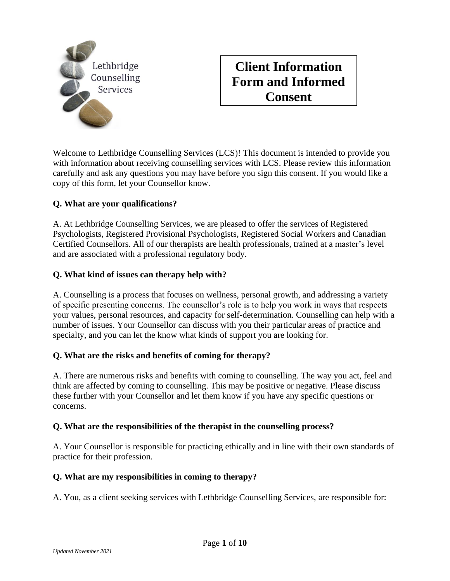

## **Client Information Form and Informed Consent**

Welcome to Lethbridge Counselling Services (LCS)! This document is intended to provide you with information about receiving counselling services with LCS. Please review this information carefully and ask any questions you may have before you sign this consent. If you would like a copy of this form, let your Counsellor know.

#### **Q. What are your qualifications?**

A. At Lethbridge Counselling Services, we are pleased to offer the services of Registered Psychologists, Registered Provisional Psychologists, Registered Social Workers and Canadian Certified Counsellors. All of our therapists are health professionals, trained at a master's level and are associated with a professional regulatory body.

#### **Q. What kind of issues can therapy help with?**

A. Counselling is a process that focuses on wellness, personal growth, and addressing a variety of specific presenting concerns. The counsellor's role is to help you work in ways that respects your values, personal resources, and capacity for self-determination. Counselling can help with a number of issues. Your Counsellor can discuss with you their particular areas of practice and specialty, and you can let the know what kinds of support you are looking for.

#### **Q. What are the risks and benefits of coming for therapy?**

A. There are numerous risks and benefits with coming to counselling. The way you act, feel and think are affected by coming to counselling. This may be positive or negative. Please discuss these further with your Counsellor and let them know if you have any specific questions or concerns.

#### **Q. What are the responsibilities of the therapist in the counselling process?**

A. Your Counsellor is responsible for practicing ethically and in line with their own standards of practice for their profession.

#### **Q. What are my responsibilities in coming to therapy?**

A. You, as a client seeking services with Lethbridge Counselling Services, are responsible for: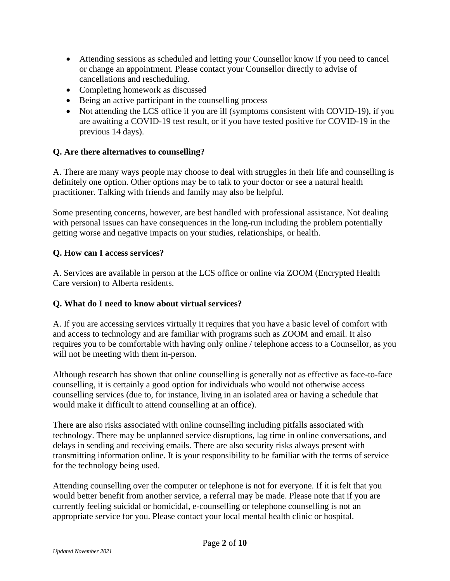- Attending sessions as scheduled and letting your Counsellor know if you need to cancel or change an appointment. Please contact your Counsellor directly to advise of cancellations and rescheduling.
- Completing homework as discussed
- Being an active participant in the counselling process
- Not attending the LCS office if you are ill (symptoms consistent with COVID-19), if you are awaiting a COVID-19 test result, or if you have tested positive for COVID-19 in the previous 14 days).

#### **Q. Are there alternatives to counselling?**

A. There are many ways people may choose to deal with struggles in their life and counselling is definitely one option. Other options may be to talk to your doctor or see a natural health practitioner. Talking with friends and family may also be helpful.

Some presenting concerns, however, are best handled with professional assistance. Not dealing with personal issues can have consequences in the long-run including the problem potentially getting worse and negative impacts on your studies, relationships, or health.

#### **Q. How can I access services?**

A. Services are available in person at the LCS office or online via ZOOM (Encrypted Health Care version) to Alberta residents.

#### **Q. What do I need to know about virtual services?**

A. If you are accessing services virtually it requires that you have a basic level of comfort with and access to technology and are familiar with programs such as ZOOM and email. It also requires you to be comfortable with having only online / telephone access to a Counsellor, as you will not be meeting with them in-person.

Although research has shown that online counselling is generally not as effective as face-to-face counselling, it is certainly a good option for individuals who would not otherwise access counselling services (due to, for instance, living in an isolated area or having a schedule that would make it difficult to attend counselling at an office).

There are also risks associated with online counselling including pitfalls associated with technology. There may be unplanned service disruptions, lag time in online conversations, and delays in sending and receiving emails. There are also security risks always present with transmitting information online. It is your responsibility to be familiar with the terms of service for the technology being used.

Attending counselling over the computer or telephone is not for everyone. If it is felt that you would better benefit from another service, a referral may be made. Please note that if you are currently feeling suicidal or homicidal, e-counselling or telephone counselling is not an appropriate service for you. Please contact your local mental health clinic or hospital.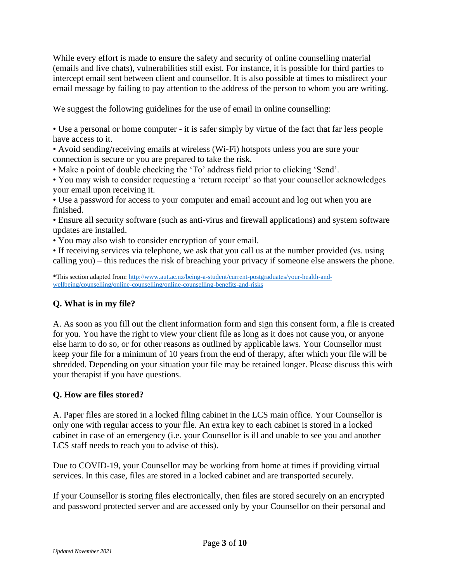While every effort is made to ensure the safety and security of online counselling material (emails and live chats), vulnerabilities still exist. For instance, it is possible for third parties to intercept email sent between client and counsellor. It is also possible at times to misdirect your email message by failing to pay attention to the address of the person to whom you are writing.

We suggest the following guidelines for the use of email in online counselling:

• Use a personal or home computer - it is safer simply by virtue of the fact that far less people have access to it.

• Avoid sending/receiving emails at wireless (Wi-Fi) hotspots unless you are sure your connection is secure or you are prepared to take the risk.

• Make a point of double checking the 'To' address field prior to clicking 'Send'.

• You may wish to consider requesting a 'return receipt' so that your counsellor acknowledges your email upon receiving it.

• Use a password for access to your computer and email account and log out when you are finished.

• Ensure all security software (such as anti-virus and firewall applications) and system software updates are installed.

• You may also wish to consider encryption of your email.

• If receiving services via telephone, we ask that you call us at the number provided (vs. using calling you) – this reduces the risk of breaching your privacy if someone else answers the phone.

\*This section adapted from: [http://www.aut.ac.nz/being-a-student/current-postgraduates/your-health-and](http://www.aut.ac.nz/being-a-student/current-postgraduates/your-health-and-wellbeing/counselling/online-counselling/online-counselling-benefits-and-risks)[wellbeing/counselling/online-counselling/online-counselling-benefits-and-risks](http://www.aut.ac.nz/being-a-student/current-postgraduates/your-health-and-wellbeing/counselling/online-counselling/online-counselling-benefits-and-risks)

#### **Q. What is in my file?**

A. As soon as you fill out the client information form and sign this consent form, a file is created for you. You have the right to view your client file as long as it does not cause you, or anyone else harm to do so, or for other reasons as outlined by applicable laws. Your Counsellor must keep your file for a minimum of 10 years from the end of therapy, after which your file will be shredded. Depending on your situation your file may be retained longer. Please discuss this with your therapist if you have questions.

#### **Q. How are files stored?**

A. Paper files are stored in a locked filing cabinet in the LCS main office. Your Counsellor is only one with regular access to your file. An extra key to each cabinet is stored in a locked cabinet in case of an emergency (i.e. your Counsellor is ill and unable to see you and another LCS staff needs to reach you to advise of this).

Due to COVID-19, your Counsellor may be working from home at times if providing virtual services. In this case, files are stored in a locked cabinet and are transported securely.

If your Counsellor is storing files electronically, then files are stored securely on an encrypted and password protected server and are accessed only by your Counsellor on their personal and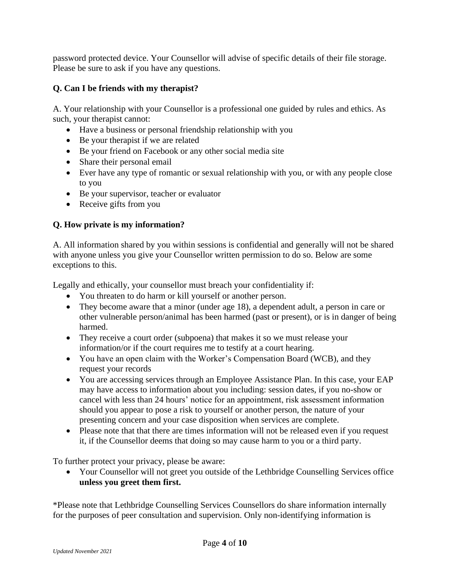password protected device. Your Counsellor will advise of specific details of their file storage. Please be sure to ask if you have any questions.

#### **Q. Can I be friends with my therapist?**

A. Your relationship with your Counsellor is a professional one guided by rules and ethics. As such, your therapist cannot:

- Have a business or personal friendship relationship with you
- Be your therapist if we are related
- Be your friend on Facebook or any other social media site
- Share their personal email
- Ever have any type of romantic or sexual relationship with you, or with any people close to you
- Be your supervisor, teacher or evaluator
- Receive gifts from you

#### **Q. How private is my information?**

A. All information shared by you within sessions is confidential and generally will not be shared with anyone unless you give your Counsellor written permission to do so. Below are some exceptions to this.

Legally and ethically, your counsellor must breach your confidentiality if:

- You threaten to do harm or kill yourself or another person.
- They become aware that a minor (under age 18), a dependent adult, a person in care or other vulnerable person/animal has been harmed (past or present), or is in danger of being harmed.
- They receive a court order (subpoena) that makes it so we must release your information/or if the court requires me to testify at a court hearing.
- You have an open claim with the Worker's Compensation Board (WCB), and they request your records
- You are accessing services through an Employee Assistance Plan. In this case, your EAP may have access to information about you including: session dates, if you no-show or cancel with less than 24 hours' notice for an appointment, risk assessment information should you appear to pose a risk to yourself or another person, the nature of your presenting concern and your case disposition when services are complete.
- Please note that that there are times information will not be released even if you request it, if the Counsellor deems that doing so may cause harm to you or a third party.

To further protect your privacy, please be aware:

• Your Counsellor will not greet you outside of the Lethbridge Counselling Services office **unless you greet them first.** 

\*Please note that Lethbridge Counselling Services Counsellors do share information internally for the purposes of peer consultation and supervision. Only non-identifying information is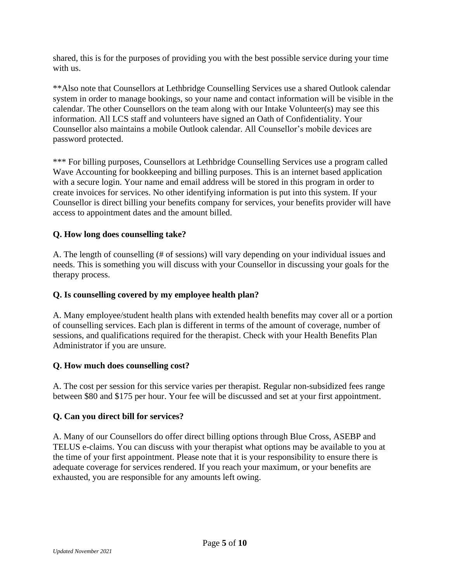shared, this is for the purposes of providing you with the best possible service during your time with us.

\*\*Also note that Counsellors at Lethbridge Counselling Services use a shared Outlook calendar system in order to manage bookings, so your name and contact information will be visible in the calendar. The other Counsellors on the team along with our Intake Volunteer(s) may see this information. All LCS staff and volunteers have signed an Oath of Confidentiality. Your Counsellor also maintains a mobile Outlook calendar. All Counsellor's mobile devices are password protected.

\*\*\* For billing purposes, Counsellors at Lethbridge Counselling Services use a program called Wave Accounting for bookkeeping and billing purposes. This is an internet based application with a secure login. Your name and email address will be stored in this program in order to create invoices for services. No other identifying information is put into this system. If your Counsellor is direct billing your benefits company for services, your benefits provider will have access to appointment dates and the amount billed.

#### **Q. How long does counselling take?**

A. The length of counselling (# of sessions) will vary depending on your individual issues and needs. This is something you will discuss with your Counsellor in discussing your goals for the therapy process.

#### **Q. Is counselling covered by my employee health plan?**

A. Many employee/student health plans with extended health benefits may cover all or a portion of counselling services. Each plan is different in terms of the amount of coverage, number of sessions, and qualifications required for the therapist. Check with your Health Benefits Plan Administrator if you are unsure.

#### **Q. How much does counselling cost?**

A. The cost per session for this service varies per therapist. Regular non-subsidized fees range between \$80 and \$175 per hour. Your fee will be discussed and set at your first appointment.

#### **Q. Can you direct bill for services?**

A. Many of our Counsellors do offer direct billing options through Blue Cross, ASEBP and TELUS e-claims. You can discuss with your therapist what options may be available to you at the time of your first appointment. Please note that it is your responsibility to ensure there is adequate coverage for services rendered. If you reach your maximum, or your benefits are exhausted, you are responsible for any amounts left owing.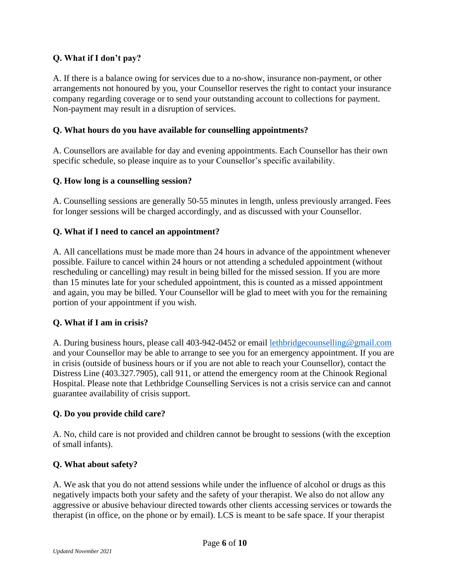#### **Q. What if I don't pay?**

A. If there is a balance owing for services due to a no-show, insurance non-payment, or other arrangements not honoured by you, your Counsellor reserves the right to contact your insurance company regarding coverage or to send your outstanding account to collections for payment. Non-payment may result in a disruption of services.

#### **Q. What hours do you have available for counselling appointments?**

A. Counsellors are available for day and evening appointments. Each Counsellor has their own specific schedule, so please inquire as to your Counsellor's specific availability.

#### **Q. How long is a counselling session?**

A. Counselling sessions are generally 50-55 minutes in length, unless previously arranged. Fees for longer sessions will be charged accordingly, and as discussed with your Counsellor.

#### **Q. What if I need to cancel an appointment?**

A. All cancellations must be made more than 24 hours in advance of the appointment whenever possible. Failure to cancel within 24 hours or not attending a scheduled appointment (without rescheduling or cancelling) may result in being billed for the missed session. If you are more than 15 minutes late for your scheduled appointment, this is counted as a missed appointment and again, you may be billed. Your Counsellor will be glad to meet with you for the remaining portion of your appointment if you wish.

#### **Q. What if I am in crisis?**

A. During business hours, please call 403-942-0452 or email [lethbridgecounselling@gmail.com](mailto:lethbridgecounselling@gmail.com) and your Counsellor may be able to arrange to see you for an emergency appointment. If you are in crisis (outside of business hours or if you are not able to reach your Counsellor), contact the Distress Line (403.327.7905), call 911, or attend the emergency room at the Chinook Regional Hospital. Please note that Lethbridge Counselling Services is not a crisis service can and cannot guarantee availability of crisis support.

#### **Q. Do you provide child care?**

A. No, child care is not provided and children cannot be brought to sessions (with the exception of small infants).

#### **Q. What about safety?**

A. We ask that you do not attend sessions while under the influence of alcohol or drugs as this negatively impacts both your safety and the safety of your therapist. We also do not allow any aggressive or abusive behaviour directed towards other clients accessing services or towards the therapist (in office, on the phone or by email). LCS is meant to be safe space. If your therapist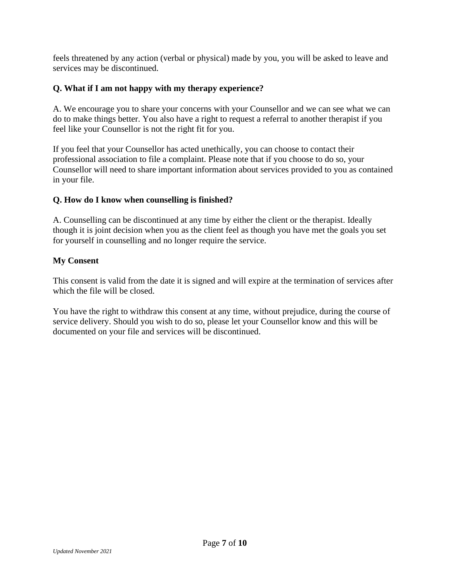feels threatened by any action (verbal or physical) made by you, you will be asked to leave and services may be discontinued.

#### **Q. What if I am not happy with my therapy experience?**

A. We encourage you to share your concerns with your Counsellor and we can see what we can do to make things better. You also have a right to request a referral to another therapist if you feel like your Counsellor is not the right fit for you.

If you feel that your Counsellor has acted unethically, you can choose to contact their professional association to file a complaint. Please note that if you choose to do so, your Counsellor will need to share important information about services provided to you as contained in your file.

#### **Q. How do I know when counselling is finished?**

A. Counselling can be discontinued at any time by either the client or the therapist. Ideally though it is joint decision when you as the client feel as though you have met the goals you set for yourself in counselling and no longer require the service.

#### **My Consent**

This consent is valid from the date it is signed and will expire at the termination of services after which the file will be closed.

You have the right to withdraw this consent at any time, without prejudice, during the course of service delivery. Should you wish to do so, please let your Counsellor know and this will be documented on your file and services will be discontinued.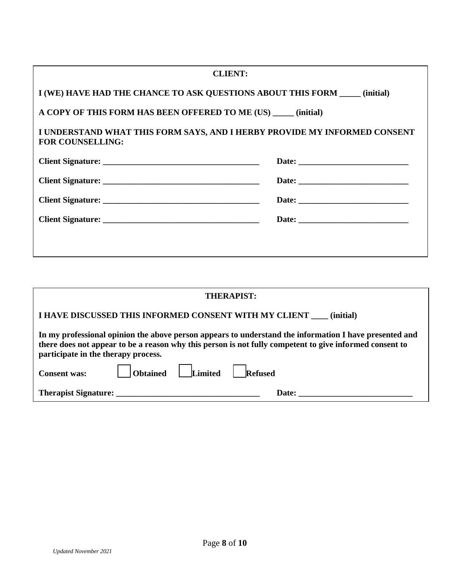| <b>CLIENT:</b>                                                                                       |  |  |  |  |
|------------------------------------------------------------------------------------------------------|--|--|--|--|
| I (WE) HAVE HAD THE CHANCE TO ASK QUESTIONS ABOUT THIS FORM _____ (initial)                          |  |  |  |  |
| A COPY OF THIS FORM HAS BEEN OFFERED TO ME (US) ______ (initial)                                     |  |  |  |  |
| I UNDERSTAND WHAT THIS FORM SAYS, AND I HERBY PROVIDE MY INFORMED CONSENT<br><b>FOR COUNSELLING:</b> |  |  |  |  |
|                                                                                                      |  |  |  |  |
|                                                                                                      |  |  |  |  |
|                                                                                                      |  |  |  |  |
|                                                                                                      |  |  |  |  |
|                                                                                                      |  |  |  |  |
|                                                                                                      |  |  |  |  |

| <b>THERAPIST:</b>                                                                                                                                                                                                                                        |  |  |  |  |
|----------------------------------------------------------------------------------------------------------------------------------------------------------------------------------------------------------------------------------------------------------|--|--|--|--|
| I HAVE DISCUSSED THIS INFORMED CONSENT WITH MY CLIENT (initial)                                                                                                                                                                                          |  |  |  |  |
| In my professional opinion the above person appears to understand the information I have presented and<br>there does not appear to be a reason why this person is not fully competent to give informed consent to<br>participate in the therapy process. |  |  |  |  |
| Consent was: Consent was: Consent was: Consent was:                                                                                                                                                                                                      |  |  |  |  |
| Therapist Signature:<br><b>Date:</b>                                                                                                                                                                                                                     |  |  |  |  |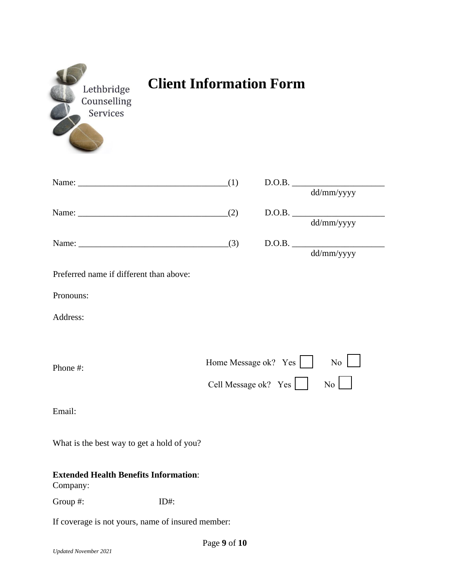| Lethbridge  |
|-------------|
| Counselling |
|             |
|             |
|             |

# **Client Information Form**

|     | D.O.B.     |
|-----|------------|
|     | dd/mm/yyyy |
| (2) | D.O.B.     |
|     | dd/mm/yyyy |
| (3) | D.O.B.     |
|     | dd/mm/yyyy |

| Preferred name if different than above: |  |  |  |  |
|-----------------------------------------|--|--|--|--|
|-----------------------------------------|--|--|--|--|

Pronouns:

Address:

| Phone #: | Home Message ok? Yes                                                                                                                                                                                                                                                                                                                                                                                                               | $\overline{N_0}$ |
|----------|------------------------------------------------------------------------------------------------------------------------------------------------------------------------------------------------------------------------------------------------------------------------------------------------------------------------------------------------------------------------------------------------------------------------------------|------------------|
|          | Cell Message ok? $Yes \n\begin{array}{ c c }\n\hline\n\end{array} No \n\begin{array}{ c c }\n\hline\n\end{array} No \n\begin{array}{ c c }\n\hline\n\end{array} No \n\begin{array}{ c c }\n\hline\n\end{array} No \n\begin{array}{ c c }\n\hline\n\end{array} No \n\begin{array}{ c c }\n\hline\n\end{array} No \n\begin{array}{ c c }\n\hline\n\end{array} No \n\begin{array}{ c c }\n\hline\n\end{array} No \n\begin{array}{ c $ |                  |

÷.

Email:

What is the best way to get a hold of you?

### **Extended Health Benefits Information**:

Company:

Group #: ID#:

If coverage is not yours, name of insured member: